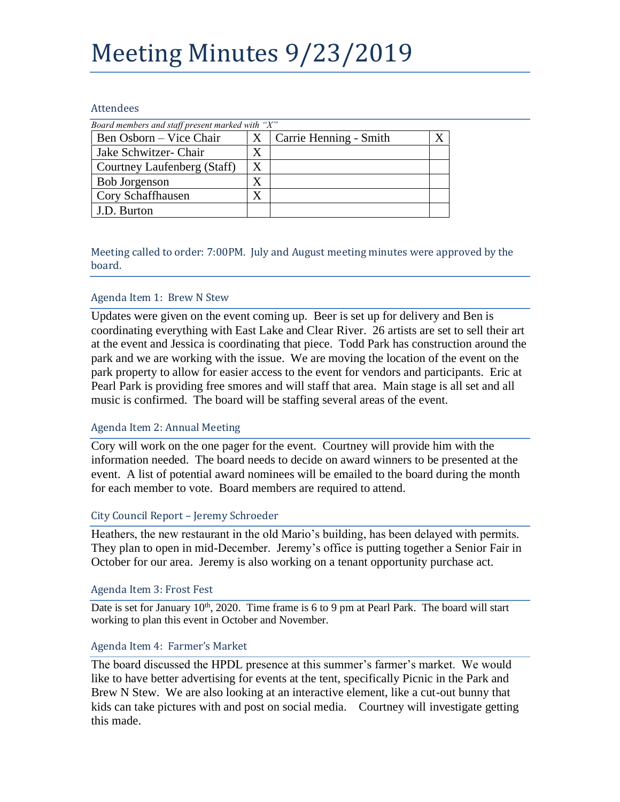# Meeting Minutes 9/23/2019

#### Attendees

| Board members and staff present marked with "X" |   |                        |  |
|-------------------------------------------------|---|------------------------|--|
| Ben Osborn – Vice Chair                         | X | Carrie Henning - Smith |  |
| Jake Schwitzer- Chair                           | Χ |                        |  |
| Courtney Laufenberg (Staff)                     | X |                        |  |
| <b>Bob Jorgenson</b>                            | X |                        |  |
| Cory Schaffhausen                               | X |                        |  |
| J.D. Burton                                     |   |                        |  |

Meeting called to order: 7:00PM. July and August meeting minutes were approved by the board.

#### Agenda Item 1: Brew N Stew

Updates were given on the event coming up. Beer is set up for delivery and Ben is coordinating everything with East Lake and Clear River. 26 artists are set to sell their art at the event and Jessica is coordinating that piece. Todd Park has construction around the park and we are working with the issue. We are moving the location of the event on the park property to allow for easier access to the event for vendors and participants. Eric at Pearl Park is providing free smores and will staff that area. Main stage is all set and all music is confirmed. The board will be staffing several areas of the event.

#### Agenda Item 2: Annual Meeting

Cory will work on the one pager for the event. Courtney will provide him with the information needed. The board needs to decide on award winners to be presented at the event. A list of potential award nominees will be emailed to the board during the month for each member to vote. Board members are required to attend.

#### City Council Report – Jeremy Schroeder

Heathers, the new restaurant in the old Mario's building, has been delayed with permits. They plan to open in mid-December. Jeremy's office is putting together a Senior Fair in October for our area. Jeremy is also working on a tenant opportunity purchase act.

#### Agenda Item 3: Frost Fest

Date is set for January  $10<sup>th</sup>$ , 2020. Time frame is 6 to 9 pm at Pearl Park. The board will start working to plan this event in October and November.

#### Agenda Item 4: Farmer's Market

The board discussed the HPDL presence at this summer's farmer's market. We would like to have better advertising for events at the tent, specifically Picnic in the Park and Brew N Stew. We are also looking at an interactive element, like a cut-out bunny that kids can take pictures with and post on social media. Courtney will investigate getting this made.